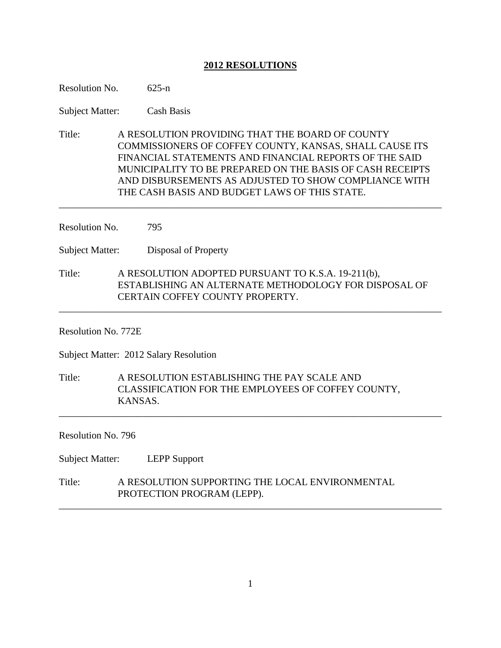# **2012 RESOLUTIONS**

| Resolution No.                         | $625 - n$                                                                                                                                                                                                                                                                                                                                   |  |
|----------------------------------------|---------------------------------------------------------------------------------------------------------------------------------------------------------------------------------------------------------------------------------------------------------------------------------------------------------------------------------------------|--|
| <b>Subject Matter:</b>                 | <b>Cash Basis</b>                                                                                                                                                                                                                                                                                                                           |  |
| Title:                                 | A RESOLUTION PROVIDING THAT THE BOARD OF COUNTY<br>COMMISSIONERS OF COFFEY COUNTY, KANSAS, SHALL CAUSE ITS<br>FINANCIAL STATEMENTS AND FINANCIAL REPORTS OF THE SAID<br>MUNICIPALITY TO BE PREPARED ON THE BASIS OF CASH RECEIPTS<br>AND DISBURSEMENTS AS ADJUSTED TO SHOW COMPLIANCE WITH<br>THE CASH BASIS AND BUDGET LAWS OF THIS STATE. |  |
| Resolution No.<br>795                  |                                                                                                                                                                                                                                                                                                                                             |  |
| <b>Subject Matter:</b>                 | Disposal of Property                                                                                                                                                                                                                                                                                                                        |  |
| Title:                                 | A RESOLUTION ADOPTED PURSUANT TO K.S.A. 19-211(b),<br>ESTABLISHING AN ALTERNATE METHODOLOGY FOR DISPOSAL OF<br>CERTAIN COFFEY COUNTY PROPERTY.                                                                                                                                                                                              |  |
| Resolution No. 772E                    |                                                                                                                                                                                                                                                                                                                                             |  |
| Subject Matter: 2012 Salary Resolution |                                                                                                                                                                                                                                                                                                                                             |  |
| Title:                                 | A RESOLUTION ESTABLISHING THE PAY SCALE AND<br>CLASSIFICATION FOR THE EMPLOYEES OF COFFEY COUNTY,<br>KANSAS.                                                                                                                                                                                                                                |  |
| Resolution No. 796                     |                                                                                                                                                                                                                                                                                                                                             |  |
| <b>Subject Matter:</b>                 | <b>LEPP Support</b>                                                                                                                                                                                                                                                                                                                         |  |
| Title:                                 | A RESOLUTION SUPPORTING THE LOCAL ENVIRONMENTAL<br>PROTECTION PROGRAM (LEPP).                                                                                                                                                                                                                                                               |  |

\_\_\_\_\_\_\_\_\_\_\_\_\_\_\_\_\_\_\_\_\_\_\_\_\_\_\_\_\_\_\_\_\_\_\_\_\_\_\_\_\_\_\_\_\_\_\_\_\_\_\_\_\_\_\_\_\_\_\_\_\_\_\_\_\_\_\_\_\_\_\_\_\_\_\_\_\_\_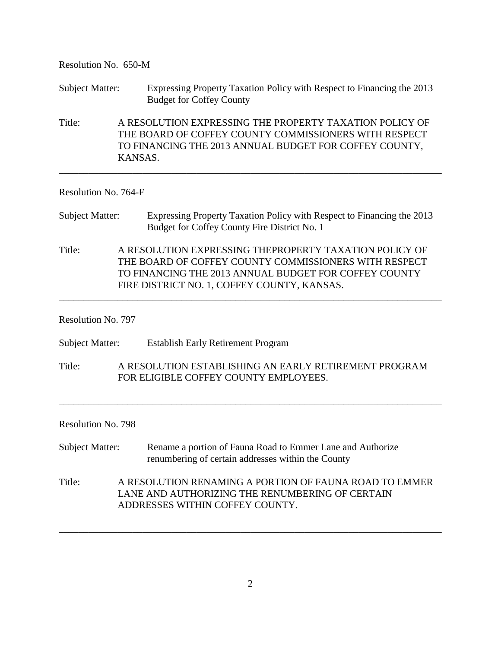| Resolution No. 650-M   |                                                                                                                                                                                                                         |  |
|------------------------|-------------------------------------------------------------------------------------------------------------------------------------------------------------------------------------------------------------------------|--|
| <b>Subject Matter:</b> | Expressing Property Taxation Policy with Respect to Financing the 2013<br><b>Budget for Coffey County</b>                                                                                                               |  |
| Title:                 | A RESOLUTION EXPRESSING THE PROPERTY TAXATION POLICY OF<br>THE BOARD OF COFFEY COUNTY COMMISSIONERS WITH RESPECT<br>TO FINANCING THE 2013 ANNUAL BUDGET FOR COFFEY COUNTY,<br>KANSAS.                                   |  |
| Resolution No. 764-F   |                                                                                                                                                                                                                         |  |
| <b>Subject Matter:</b> | Expressing Property Taxation Policy with Respect to Financing the 2013<br>Budget for Coffey County Fire District No. 1                                                                                                  |  |
| Title:                 | A RESOLUTION EXPRESSING THEPROPERTY TAXATION POLICY OF<br>THE BOARD OF COFFEY COUNTY COMMISSIONERS WITH RESPECT<br>TO FINANCING THE 2013 ANNUAL BUDGET FOR COFFEY COUNTY<br>FIRE DISTRICT NO. 1, COFFEY COUNTY, KANSAS. |  |
| Resolution No. 797     |                                                                                                                                                                                                                         |  |
| <b>Subject Matter:</b> | <b>Establish Early Retirement Program</b>                                                                                                                                                                               |  |
| Title:                 | A RESOLUTION ESTABLISHING AN EARLY RETIREMENT PROGRAM<br>FOR ELIGIBLE COFFEY COUNTY EMPLOYEES.                                                                                                                          |  |
| Resolution No. 798     |                                                                                                                                                                                                                         |  |
| <b>Subject Matter:</b> | Rename a portion of Fauna Road to Emmer Lane and Authorize<br>renumbering of certain addresses within the County                                                                                                        |  |
| Title:                 | A RESOLUTION RENAMING A PORTION OF FAUNA ROAD TO EMMER<br>LANE AND AUTHORIZING THE RENUMBERING OF CERTAIN<br>ADDRESSES WITHIN COFFEY COUNTY.                                                                            |  |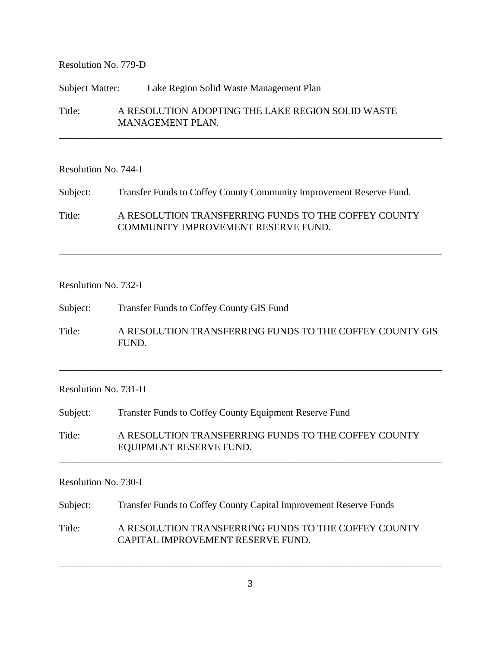# Resolution No. 779-D

### Subject Matter: Lake Region Solid Waste Management Plan

Title: A RESOLUTION ADOPTING THE LAKE REGION SOLID WASTE MANAGEMENT PLAN.

\_\_\_\_\_\_\_\_\_\_\_\_\_\_\_\_\_\_\_\_\_\_\_\_\_\_\_\_\_\_\_\_\_\_\_\_\_\_\_\_\_\_\_\_\_\_\_\_\_\_\_\_\_\_\_\_\_\_\_\_\_\_\_\_\_\_\_\_\_\_\_\_\_\_\_\_\_\_

#### Resolution No. 744-I

Subject: Transfer Funds to Coffey County Community Improvement Reserve Fund. Title: A RESOLUTION TRANSFERRING FUNDS TO THE COFFEY COUNTY COMMUNITY IMPROVEMENT RESERVE FUND.

## Resolution No. 732-I

Subject: Transfer Funds to Coffey County GIS Fund

Title: A RESOLUTION TRANSFERRING FUNDS TO THE COFFEY COUNTY GIS FUND.

\_\_\_\_\_\_\_\_\_\_\_\_\_\_\_\_\_\_\_\_\_\_\_\_\_\_\_\_\_\_\_\_\_\_\_\_\_\_\_\_\_\_\_\_\_\_\_\_\_\_\_\_\_\_\_\_\_\_\_\_\_\_\_\_\_\_\_\_\_\_\_\_\_\_\_\_\_\_

\_\_\_\_\_\_\_\_\_\_\_\_\_\_\_\_\_\_\_\_\_\_\_\_\_\_\_\_\_\_\_\_\_\_\_\_\_\_\_\_\_\_\_\_\_\_\_\_\_\_\_\_\_\_\_\_\_\_\_\_\_\_\_\_\_\_\_\_\_\_\_\_\_\_\_\_\_\_

## Resolution No. 731-H

Subject: Transfer Funds to Coffey County Equipment Reserve Fund

Title: A RESOLUTION TRANSFERRING FUNDS TO THE COFFEY COUNTY EQUIPMENT RESERVE FUND.

\_\_\_\_\_\_\_\_\_\_\_\_\_\_\_\_\_\_\_\_\_\_\_\_\_\_\_\_\_\_\_\_\_\_\_\_\_\_\_\_\_\_\_\_\_\_\_\_\_\_\_\_\_\_\_\_\_\_\_\_\_\_\_\_\_\_\_\_\_\_\_\_\_\_\_\_\_\_

### Resolution No. 730-I

Subject: Transfer Funds to Coffey County Capital Improvement Reserve Funds

Title: A RESOLUTION TRANSFERRING FUNDS TO THE COFFEY COUNTY CAPITAL IMPROVEMENT RESERVE FUND.

\_\_\_\_\_\_\_\_\_\_\_\_\_\_\_\_\_\_\_\_\_\_\_\_\_\_\_\_\_\_\_\_\_\_\_\_\_\_\_\_\_\_\_\_\_\_\_\_\_\_\_\_\_\_\_\_\_\_\_\_\_\_\_\_\_\_\_\_\_\_\_\_\_\_\_\_\_\_